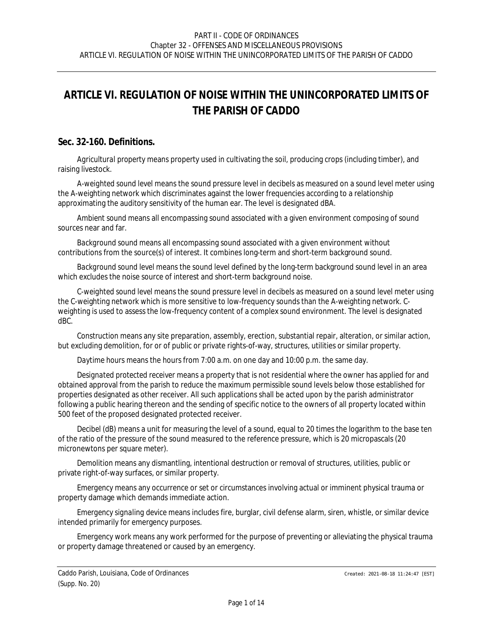# *ARTICLE VI. REGULATION OF NOISE WITHIN THE UNINCORPORATED LIMITS OF THE PARISH OF CADDO*

## **Sec. 32-160. Definitions.**

*Agricultural property* means property used in cultivating the soil, producing crops (including timber), and raising livestock.

*A-weighted sound level* means the sound pressure level in decibels as measured on a sound level meter using the A-weighting network which discriminates against the lower frequencies according to a relationship approximating the auditory sensitivity of the human ear. The level is designated dBA.

*Ambient sound* means all encompassing sound associated with a given environment composing of sound sources near and far.

*Background sound* means all encompassing sound associated with a given environment without contributions from the source(s) of interest. It combines long-term and short-term background sound.

*Background sound level* means the sound level defined by the long-term background sound level in an area which excludes the noise source of interest and short-term background noise.

*C-weighted sound level* means the sound pressure level in decibels as measured on a sound level meter using the C-weighting network which is more sensitive to low-frequency sounds than the A-weighting network. Cweighting is used to assess the low-frequency content of a complex sound environment. The level is designated dBC.

*Construction* means any site preparation, assembly, erection, substantial repair, alteration, or similar action, but excluding demolition, for or of public or private rights-of-way, structures, utilities or similar property.

*Daytime hours* means the hours from 7:00 a.m. on one day and 10:00 p.m. the same day.

*Designated protected receiver* means a property that is not residential where the owner has applied for and obtained approval from the parish to reduce the maximum permissible sound levels below those established for properties designated as other receiver. All such applications shall be acted upon by the parish administrator following a public hearing thereon and the sending of specific notice to the owners of all property located within 500 feet of the proposed designated protected receiver.

*Decibel (dB)* means a unit for measuring the level of a sound, equal to 20 times the logarithm to the base ten of the ratio of the pressure of the sound measured to the reference pressure, which is 20 micropascals (20 micronewtons per square meter).

*Demolition* means any dismantling, intentional destruction or removal of structures, utilities, public or private right-of-way surfaces, or similar property.

*Emergency* means any occurrence or set or circumstances involving actual or imminent physical trauma or property damage which demands immediate action.

*Emergency signaling device* means includes fire, burglar, civil defense alarm, siren, whistle, or similar device intended primarily for emergency purposes.

*Emergency work* means any work performed for the purpose of preventing or alleviating the physical trauma or property damage threatened or caused by an emergency.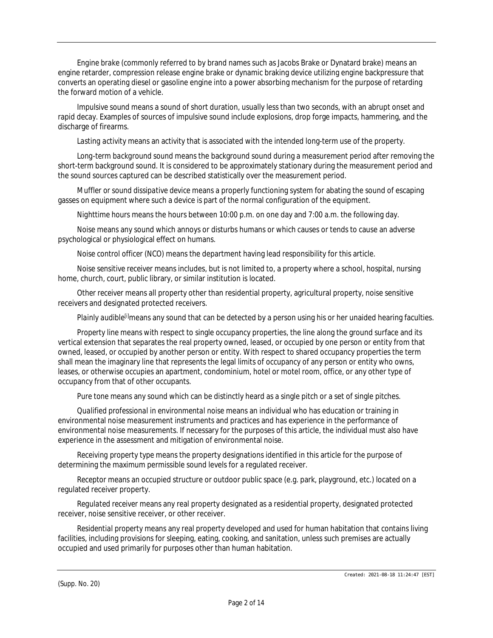*Engine brake* (commonly referred to by brand names such as Jacobs Brake or Dynatard brake) means an engine retarder, compression release engine brake or dynamic braking device utilizing engine backpressure that converts an operating diesel or gasoline engine into a power absorbing mechanism for the purpose of retarding the forward motion of a vehicle.

*Impulsive sound* means a sound of short duration, usually less than two seconds, with an abrupt onset and rapid decay. Examples of sources of impulsive sound include explosions, drop forge impacts, hammering, and the discharge of firearms.

*Lasting activity* means an activity that is associated with the intended long-term use of the property.

*Long-term background sound* means the background sound during a measurement period after removing the short-term background sound. It is considered to be approximately stationary during the measurement period and the sound sources captured can be described statistically over the measurement period.

*Muffler or sound dissipative device* means a properly functioning system for abating the sound of escaping gasses on equipment where such a device is part of the normal configuration of the equipment.

*Nighttime hours* means the hours between 10:00 p.m. on one day and 7:00 a.m. the following day.

*Noise* means any sound which annoys or disturbs humans or which causes or tends to cause an adverse psychological or physiological effect on humans.

*Noise control officer (NCO)* means the department having lead responsibility for this article.

*Noise sensitive receiver* means includes, but is not limited to, a property where a school, hospital, nursing home, church, court, public library, or similar institution is located.

*Other receiver* means all property other than residential property, agricultural property, noise sensitive receivers and designated protected receivers.

*Plainly audible[i]*means any sound that can be detected by a person using his or her unaided hearing faculties.

*Property line* means with respect to single occupancy properties, the line along the ground surface and its vertical extension that separates the real property owned, leased, or occupied by one person or entity from that owned, leased, or occupied by another person or entity. With respect to shared occupancy properties the term shall mean the imaginary line that represents the legal limits of occupancy of any person or entity who owns, leases, or otherwise occupies an apartment, condominium, hotel or motel room, office, or any other type of occupancy from that of other occupants.

*Pure tone* means any sound which can be distinctly heard as a single pitch or a set of single pitches.

*Qualified professional in environmental noise* means an individual who has education or training in environmental noise measurement instruments and practices and has experience in the performance of environmental noise measurements. If necessary for the purposes of this article, the individual must also have experience in the assessment and mitigation of environmental noise.

*Receiving property type* means the property designations identified in this article for the purpose of determining the maximum permissible sound levels for a regulated receiver.

*Receptor* means an occupied structure or outdoor public space (e.g. park, playground, etc.) located on a regulated receiver property.

*Regulated receiver* means any real property designated as a residential property, designated protected receiver, noise sensitive receiver, or other receiver.

*Residential property* means any real property developed and used for human habitation that contains living facilities, including provisions for sleeping, eating, cooking, and sanitation, unless such premises are actually occupied and used primarily for purposes other than human habitation.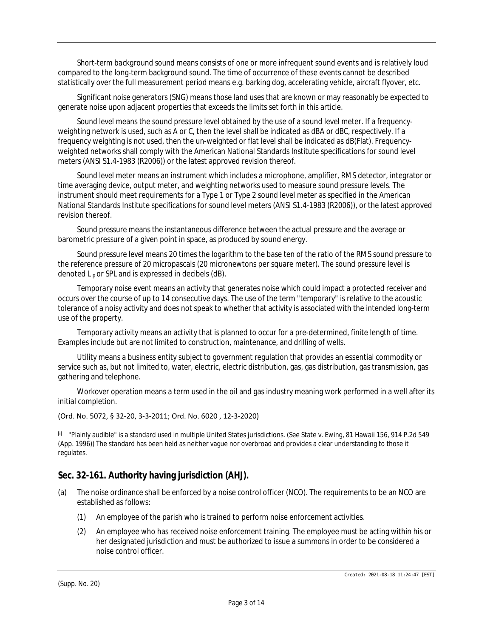*Short-term background sound* means consists of one or more infrequent sound events and is relatively loud compared to the long-term background sound. The time of occurrence of these events cannot be described statistically over the full measurement period means e.g. barking dog, accelerating vehicle, aircraft flyover, etc.

*Significant noise generators (SNG)* means those land uses that are known or may reasonably be expected to generate noise upon adjacent properties that exceeds the limits set forth in this article.

*Sound level* means the sound pressure level obtained by the use of a sound level meter. If a frequencyweighting network is used, such as A or C, then the level shall be indicated as dBA or dBC, respectively. If a frequency weighting is not used, then the un-weighted or flat level shall be indicated as dB(Flat). Frequencyweighted networks shall comply with the American National Standards Institute specifications for sound level meters (ANSI S1.4-1983 (R2006)) or the latest approved revision thereof.

*Sound level meter* means an instrument which includes a microphone, amplifier, RMS detector, integrator or time averaging device, output meter, and weighting networks used to measure sound pressure levels. The instrument should meet requirements for a Type 1 or Type 2 sound level meter as specified in the American National Standards Institute specifications for sound level meters (ANSI S1.4-1983 (R2006)), or the latest approved revision thereof.

*Sound pressure* means the instantaneous difference between the actual pressure and the average or barometric pressure of a given point in space, as produced by sound energy.

*Sound pressure level* means 20 times the logarithm to the base ten of the ratio of the RMS sound pressure to the reference pressure of 20 micropascals (20 micronewtons per square meter). The sound pressure level is denoted  $L_p$  or SPL and is expressed in decibels (dB).

*Temporary noise event* means an activity that generates noise which could impact a protected receiver and occurs over the course of up to 14 consecutive days. The use of the term "temporary" is relative to the acoustic tolerance of a noisy activity and does not speak to whether that activity is associated with the intended long-term use of the property.

*Temporary activity* means an activity that is planned to occur for a pre-determined, finite length of time. Examples include but are not limited to construction, maintenance, and drilling of wells.

*Utility* means a business entity subject to government regulation that provides an essential commodity or service such as, but not limited to, water, electric, electric distribution, gas, gas distribution, gas transmission, gas gathering and telephone.

*Workover operation* means a term used in the oil and gas industry meaning work performed in a well after its initial completion.

#### (Ord. No. 5072, § 32-20, 3-3-2011; Ord. No. 6020 , 12-3-2020)

[i] "Plainly audible" is a standard used in multiple United States jurisdictions. (See State v. Ewing, 81 Hawaii 156, 914 P.2d 549 (App. 1996)) The standard has been held as neither vague nor overbroad and provides a clear understanding to those it regulates.

## **Sec. 32-161. Authority having jurisdiction (AHJ).**

- (a) The noise ordinance shall be enforced by a noise control officer (NCO). The requirements to be an NCO are established as follows:
	- (1) An employee of the parish who is trained to perform noise enforcement activities.
	- (2) An employee who has received noise enforcement training. The employee must be acting within his or her designated jurisdiction and must be authorized to issue a summons in order to be considered a noise control officer.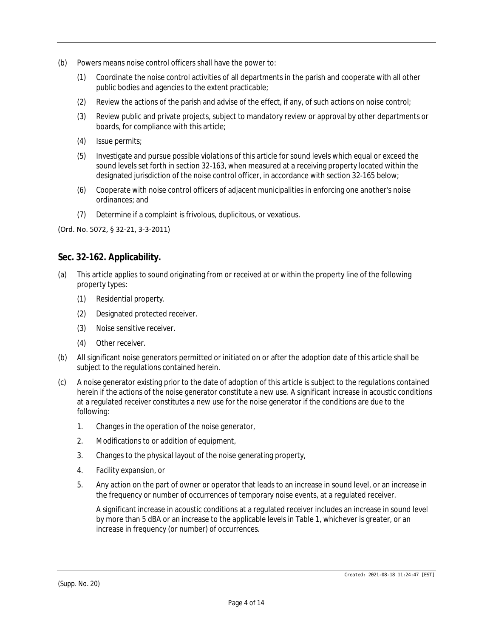- (b) Powers means noise control officers shall have the power to:
	- (1) Coordinate the noise control activities of all departments in the parish and cooperate with all other public bodies and agencies to the extent practicable;
	- (2) Review the actions of the parish and advise of the effect, if any, of such actions on noise control;
	- (3) Review public and private projects, subject to mandatory review or approval by other departments or boards, for compliance with this article;
	- (4) Issue permits;
	- (5) Investigate and pursue possible violations of this article for sound levels which equal or exceed the sound levels set forth in section 32-163, when measured at a receiving property located within the designated jurisdiction of the noise control officer, in accordance with section 32-165 below;
	- (6) Cooperate with noise control officers of adjacent municipalities in enforcing one another's noise ordinances; and
	- (7) Determine if a complaint is frivolous, duplicitous, or vexatious.

(Ord. No. 5072, § 32-21, 3-3-2011)

## **Sec. 32-162. Applicability.**

- (a) This article applies to sound originating from or received at or within the property line of the following property types:
	- (1) Residential property.
	- (2) Designated protected receiver.
	- (3) Noise sensitive receiver.
	- (4) Other receiver.
- (b) All significant noise generators permitted or initiated on or after the adoption date of this article shall be subject to the regulations contained herein.
- (c) A noise generator existing prior to the date of adoption of this article is subject to the regulations contained herein if the actions of the noise generator constitute a new use. A significant increase in acoustic conditions at a regulated receiver constitutes a new use for the noise generator if the conditions are due to the following:
	- 1. Changes in the operation of the noise generator,
	- 2. Modifications to or addition of equipment,
	- 3. Changes to the physical layout of the noise generating property,
	- 4. Facility expansion, or
	- 5. Any action on the part of owner or operator that leads to an increase in sound level, or an increase in the frequency or number of occurrences of temporary noise events, at a regulated receiver.

A significant increase in acoustic conditions at a regulated receiver includes an increase in sound level by more than 5 dBA or an increase to the applicable levels in Table 1, whichever is greater, or an increase in frequency (or number) of occurrences.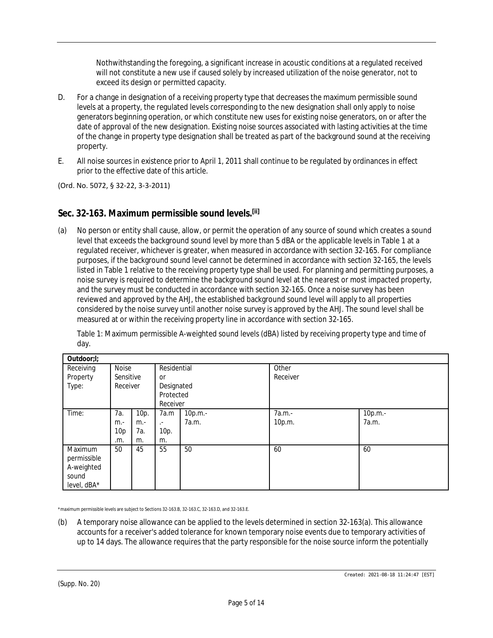Nothwithstanding the foregoing, a significant increase in acoustic conditions at a regulated received will not constitute a new use if caused solely by increased utilization of the noise generator, not to exceed its design or permitted capacity.

- D. For a change in designation of a receiving property type that decreases the maximum permissible sound levels at a property, the regulated levels corresponding to the new designation shall only apply to noise generators beginning operation, or which constitute new uses for existing noise generators, on or after the date of approval of the new designation. Existing noise sources associated with lasting activities at the time of the change in property type designation shall be treated as part of the background sound at the receiving property.
- E. All noise sources in existence prior to April 1, 2011 shall continue to be regulated by ordinances in effect prior to the effective date of this article.

(Ord. No. 5072, § 32-22, 3-3-2011)

## **Sec. 32-163. Maximum permissible sound levels.[ii]**

(a) No person or entity shall cause, allow, or permit the operation of any source of sound which creates a sound level that exceeds the background sound level by more than 5 dBA or the applicable levels in Table 1 at a regulated receiver, whichever is greater, when measured in accordance with section 32-165. For compliance purposes, if the background sound level cannot be determined in accordance with section 32-165, the levels listed in Table 1 relative to the receiving property type shall be used. For planning and permitting purposes, a noise survey is required to determine the background sound level at the nearest or most impacted property, and the survey must be conducted in accordance with section 32-165. Once a noise survey has been reviewed and approved by the AHJ, the established background sound level will apply to all properties considered by the noise survey until another noise survey is approved by the AHJ. The sound level shall be measured at or within the receiving property line in accordance with section 32-165.

Table 1: Maximum permissible A-weighted sound levels (dBA) listed by receiving property type and time of day.

| Outdoor;I;  |                 |       |             |         |          |         |
|-------------|-----------------|-------|-------------|---------|----------|---------|
| Receiving   | Noise           |       | Residential |         | Other    |         |
| Property    | Sensitive       |       | 0r          |         | Receiver |         |
| Type:       | Receiver        |       | Designated  |         |          |         |
|             |                 |       | Protected   |         |          |         |
|             |                 |       | Receiver    |         |          |         |
| Time:       | 7a.             | 10p.  | 7a.m        | 10p.m.- | 7a.m.-   | 10p.m.- |
|             | $m -$           | $m -$ | $\cdot$     | 7a.m.   | 10p.m.   | 7a.m.   |
|             | 10 <sub>p</sub> | 7а.   | 10p.        |         |          |         |
|             | .m.             | m.    | m.          |         |          |         |
| Maximum     | 50              | 45    | 55          | 50      | 60       | 60      |
| permissible |                 |       |             |         |          |         |
| A-weighted  |                 |       |             |         |          |         |
| sound       |                 |       |             |         |          |         |
| level, dBA* |                 |       |             |         |          |         |

\*maximum permissible levels are subject to Sections 32-163.B, 32-163.C, 32-163.D, and 32-163.E.

(b) A temporary noise allowance can be applied to the levels determined in section 32-163(a). This allowance accounts for a receiver's added tolerance for known temporary noise events due to temporary activities of up to 14 days. The allowance requires that the party responsible for the noise source inform the potentially

(Supp. No. 20)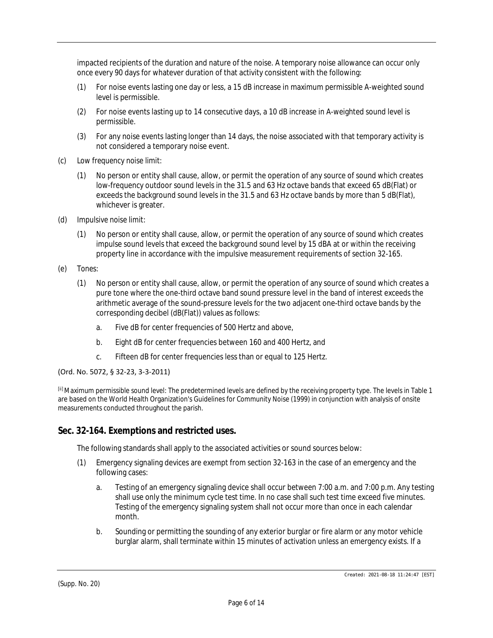impacted recipients of the duration and nature of the noise. A temporary noise allowance can occur only once every 90 days for whatever duration of that activity consistent with the following:

- (1) For noise events lasting one day or less, a 15 dB increase in maximum permissible A-weighted sound level is permissible.
- (2) For noise events lasting up to 14 consecutive days, a 10 dB increase in A-weighted sound level is permissible.
- (3) For any noise events lasting longer than 14 days, the noise associated with that temporary activity is not considered a temporary noise event.
- (c) *Low frequency noise limit:*
	- (1) No person or entity shall cause, allow, or permit the operation of any source of sound which creates low-frequency outdoor sound levels in the 31.5 and 63 Hz octave bands that exceed 65 dB(Flat) or exceeds the background sound levels in the 31.5 and 63 Hz octave bands by more than 5 dB(Flat), whichever is greater.
- (d) *Impulsive noise limit:*
	- (1) No person or entity shall cause, allow, or permit the operation of any source of sound which creates impulse sound levels that exceed the background sound level by 15 dBA at or within the receiving property line in accordance with the impulsive measurement requirements of section 32-165.
- (e) *Tones:*
	- (1) No person or entity shall cause, allow, or permit the operation of any source of sound which creates a pure tone where the one-third octave band sound pressure level in the band of interest exceeds the arithmetic average of the sound-pressure levels for the two adjacent one-third octave bands by the corresponding decibel (dB(Flat)) values as follows:
		- a. Five dB for center frequencies of 500 Hertz and above,
		- b. Eight dB for center frequencies between 160 and 400 Hertz, and
		- c. Fifteen dB for center frequencies less than or equal to 125 Hertz.

#### (Ord. No. 5072, § 32-23, 3-3-2011)

[ii] Maximum permissible sound level: The predetermined levels are defined by the receiving property type. The levels in Table 1 are based on the World Health Organization's Guidelines for Community Noise (1999) in conjunction with analysis of onsite measurements conducted throughout the parish.

## **Sec. 32-164. Exemptions and restricted uses.**

The following standards shall apply to the associated activities or sound sources below:

- (1) Emergency signaling devices are exempt from section 32-163 in the case of an emergency and the following cases:
	- a. Testing of an emergency signaling device shall occur between 7:00 a.m. and 7:00 p.m. Any testing shall use only the minimum cycle test time. In no case shall such test time exceed five minutes. Testing of the emergency signaling system shall not occur more than once in each calendar month.
	- b. Sounding or permitting the sounding of any exterior burglar or fire alarm or any motor vehicle burglar alarm, shall terminate within 15 minutes of activation unless an emergency exists. If a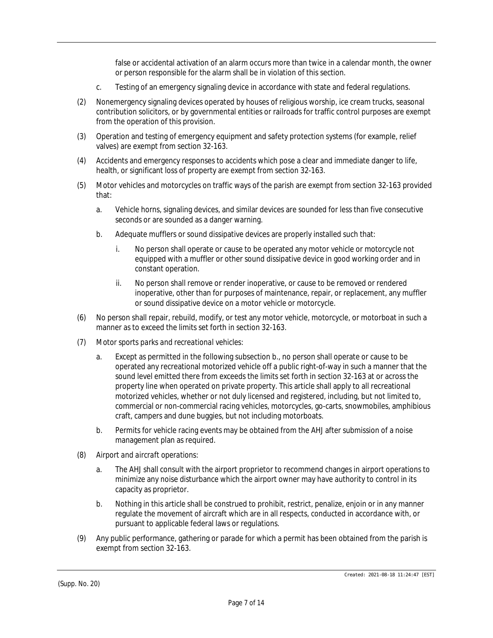false or accidental activation of an alarm occurs more than twice in a calendar month, the owner or person responsible for the alarm shall be in violation of this section.

- c. Testing of an emergency signaling device in accordance with state and federal regulations.
- (2) Nonemergency signaling devices operated by houses of religious worship, ice cream trucks, seasonal contribution solicitors, or by governmental entities or railroads for traffic control purposes are exempt from the operation of this provision.
- (3) Operation and testing of emergency equipment and safety protection systems (for example, relief valves) are exempt from section 32-163.
- (4) Accidents and emergency responses to accidents which pose a clear and immediate danger to life, health, or significant loss of property are exempt from section 32-163.
- (5) Motor vehicles and motorcycles on traffic ways of the parish are exempt from section 32-163 provided that:
	- a. Vehicle horns, signaling devices, and similar devices are sounded for less than five consecutive seconds or are sounded as a danger warning.
	- b. Adequate mufflers or sound dissipative devices are properly installed such that:
		- i. No person shall operate or cause to be operated any motor vehicle or motorcycle not equipped with a muffler or other sound dissipative device in good working order and in constant operation.
		- ii. No person shall remove or render inoperative, or cause to be removed or rendered inoperative, other than for purposes of maintenance, repair, or replacement, any muffler or sound dissipative device on a motor vehicle or motorcycle.
- (6) No person shall repair, rebuild, modify, or test any motor vehicle, motorcycle, or motorboat in such a manner as to exceed the limits set forth in section 32-163.
- (7) *Motor sports parks and recreational vehicles:*
	- a. Except as permitted in the following subsection b., no person shall operate or cause to be operated any recreational motorized vehicle off a public right-of-way in such a manner that the sound level emitted there from exceeds the limits set forth in section 32-163 at or across the property line when operated on private property. This article shall apply to all recreational motorized vehicles, whether or not duly licensed and registered, including, but not limited to, commercial or non-commercial racing vehicles, motorcycles, go-carts, snowmobiles, amphibious craft, campers and dune buggies, but not including motorboats.
	- b. Permits for vehicle racing events may be obtained from the AHJ after submission of a noise management plan as required.
- (8) *Airport and aircraft operations:*
	- a. The AHJ shall consult with the airport proprietor to recommend changes in airport operations to minimize any noise disturbance which the airport owner may have authority to control in its capacity as proprietor.
	- b. Nothing in this article shall be construed to prohibit, restrict, penalize, enjoin or in any manner regulate the movement of aircraft which are in all respects, conducted in accordance with, or pursuant to applicable federal laws or regulations.
- (9) Any public performance, gathering or parade for which a permit has been obtained from the parish is exempt from section 32-163.

(Supp. No. 20)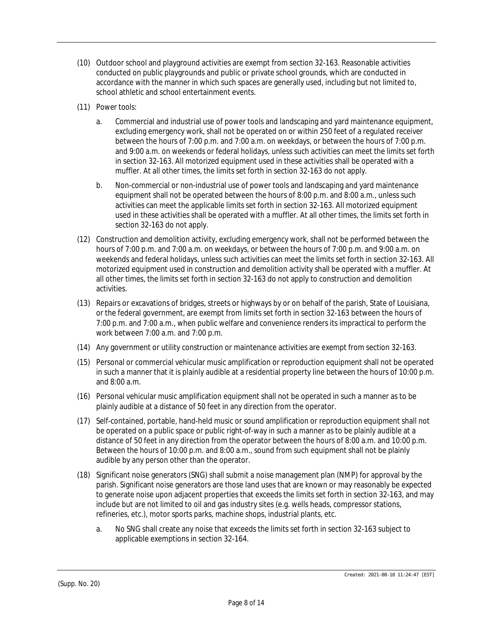- (10) Outdoor school and playground activities are exempt from section 32-163. Reasonable activities conducted on public playgrounds and public or private school grounds, which are conducted in accordance with the manner in which such spaces are generally used, including but not limited to, school athletic and school entertainment events.
- (11) *Power tools:*
	- a. Commercial and industrial use of power tools and landscaping and yard maintenance equipment, excluding emergency work, shall not be operated on or within 250 feet of a regulated receiver between the hours of 7:00 p.m. and 7:00 a.m. on weekdays, or between the hours of 7:00 p.m. and 9:00 a.m. on weekends or federal holidays, unless such activities can meet the limits set forth in section 32-163. All motorized equipment used in these activities shall be operated with a muffler. At all other times, the limits set forth in section 32-163 do not apply.
	- b. Non-commercial or non-industrial use of power tools and landscaping and yard maintenance equipment shall not be operated between the hours of 8:00 p.m. and 8:00 a.m., unless such activities can meet the applicable limits set forth in section 32-163. All motorized equipment used in these activities shall be operated with a muffler. At all other times, the limits set forth in section 32-163 do not apply.
- (12) Construction and demolition activity, excluding emergency work, shall not be performed between the hours of 7:00 p.m. and 7:00 a.m. on weekdays, or between the hours of 7:00 p.m. and 9:00 a.m. on weekends and federal holidays, unless such activities can meet the limits set forth in section 32-163. All motorized equipment used in construction and demolition activity shall be operated with a muffler. At all other times, the limits set forth in section 32-163 do not apply to construction and demolition activities.
- (13) Repairs or excavations of bridges, streets or highways by or on behalf of the parish, State of Louisiana, or the federal government, are exempt from limits set forth in section 32-163 between the hours of 7:00 p.m. and 7:00 a.m., when public welfare and convenience renders its impractical to perform the work between 7:00 a.m. and 7:00 p.m.
- (14) Any government or utility construction or maintenance activities are exempt from section 32-163.
- (15) Personal or commercial vehicular music amplification or reproduction equipment shall not be operated in such a manner that it is plainly audible at a residential property line between the hours of 10:00 p.m. and 8:00 a.m.
- (16) Personal vehicular music amplification equipment shall not be operated in such a manner as to be plainly audible at a distance of 50 feet in any direction from the operator.
- (17) Self-contained, portable, hand-held music or sound amplification or reproduction equipment shall not be operated on a public space or public right-of-way in such a manner as to be plainly audible at a distance of 50 feet in any direction from the operator between the hours of 8:00 a.m. and 10:00 p.m. Between the hours of 10:00 p.m. and 8:00 a.m., sound from such equipment shall not be plainly audible by any person other than the operator.
- (18) Significant noise generators (SNG) shall submit a noise management plan (NMP) for approval by the parish. Significant noise generators are those land uses that are known or may reasonably be expected to generate noise upon adjacent properties that exceeds the limits set forth in section 32-163, and may include but are not limited to oil and gas industry sites (e.g. wells heads, compressor stations, refineries, etc.), motor sports parks, machine shops, industrial plants, etc.
	- a. No SNG shall create any noise that exceeds the limits set forth in section 32-163 subject to applicable exemptions in section 32-164.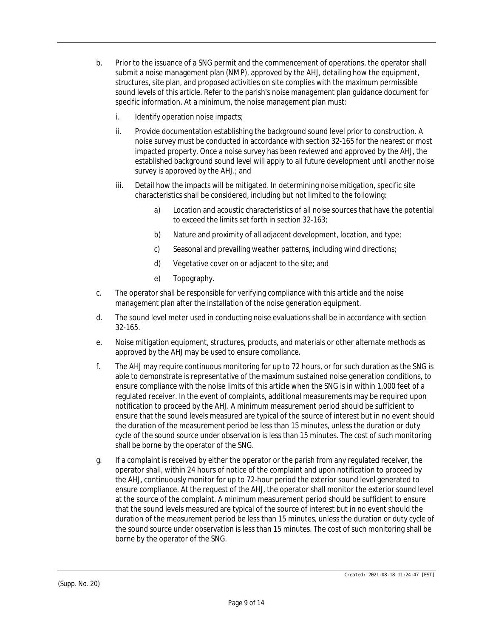- b. Prior to the issuance of a SNG permit and the commencement of operations, the operator shall submit a noise management plan (NMP), approved by the AHJ, detailing how the equipment, structures, site plan, and proposed activities on site complies with the maximum permissible sound levels of this article. Refer to the parish's noise management plan guidance document for specific information. At a minimum, the noise management plan must:
	- i. **Identify operation noise impacts;**
	- ii. Provide documentation establishing the background sound level prior to construction. A noise survey must be conducted in accordance with section 32-165 for the nearest or most impacted property. Once a noise survey has been reviewed and approved by the AHJ, the established background sound level will apply to all future development until another noise survey is approved by the AHJ.; and
	- iii. Detail how the impacts will be mitigated. In determining noise mitigation, specific site characteristics shall be considered, including but not limited to the following:
		- a) Location and acoustic characteristics of all noise sources that have the potential to exceed the limits set forth in section 32-163;
		- b) Nature and proximity of all adjacent development, location, and type;
		- c) Seasonal and prevailing weather patterns, including wind directions;
		- d) Vegetative cover on or adjacent to the site; and
		- e) Topography.
- c. The operator shall be responsible for verifying compliance with this article and the noise management plan after the installation of the noise generation equipment.
- d. The sound level meter used in conducting noise evaluations shall be in accordance with section 32-165.
- e. Noise mitigation equipment, structures, products, and materials or other alternate methods as approved by the AHJ may be used to ensure compliance.
- f. The AHJ may require continuous monitoring for up to 72 hours, or for such duration as the SNG is able to demonstrate is representative of the maximum sustained noise generation conditions, to ensure compliance with the noise limits of this article when the SNG is in within 1,000 feet of a regulated receiver. In the event of complaints, additional measurements may be required upon notification to proceed by the AHJ. A minimum measurement period should be sufficient to ensure that the sound levels measured are typical of the source of interest but in no event should the duration of the measurement period be less than 15 minutes, unless the duration or duty cycle of the sound source under observation is less than 15 minutes. The cost of such monitoring shall be borne by the operator of the SNG.
- g. If a complaint is received by either the operator or the parish from any regulated receiver, the operator shall, within 24 hours of notice of the complaint and upon notification to proceed by the AHJ, continuously monitor for up to 72-hour period the exterior sound level generated to ensure compliance. At the request of the AHJ, the operator shall monitor the exterior sound level at the source of the complaint. A minimum measurement period should be sufficient to ensure that the sound levels measured are typical of the source of interest but in no event should the duration of the measurement period be less than 15 minutes, unless the duration or duty cycle of the sound source under observation is less than 15 minutes. The cost of such monitoring shall be borne by the operator of the SNG.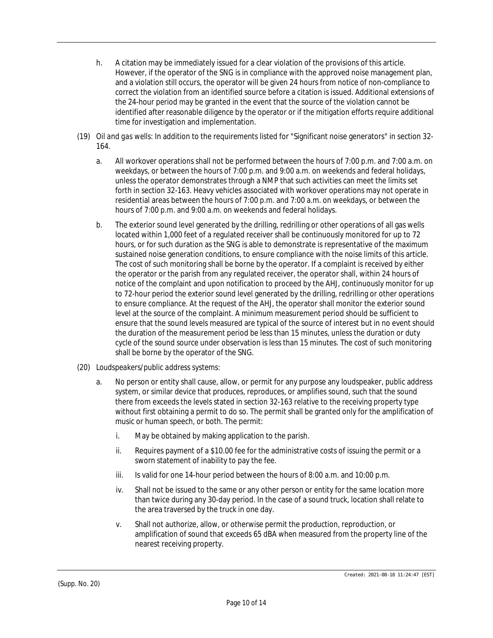- h. A citation may be immediately issued for a clear violation of the provisions of this article. However, if the operator of the SNG is in compliance with the approved noise management plan, and a violation still occurs, the operator will be given 24 hours from notice of non-compliance to correct the violation from an identified source before a citation is issued. Additional extensions of the 24-hour period may be granted in the event that the source of the violation cannot be identified after reasonable diligence by the operator or if the mitigation efforts require additional time for investigation and implementation.
- (19) *Oil and gas wells:* In addition to the requirements listed for "Significant noise generators" in section 32- 164.
	- a. All workover operations shall not be performed between the hours of 7:00 p.m. and 7:00 a.m. on weekdays, or between the hours of 7:00 p.m. and 9:00 a.m. on weekends and federal holidays, unless the operator demonstrates through a NMP that such activities can meet the limits set forth in section 32-163. Heavy vehicles associated with workover operations may not operate in residential areas between the hours of 7:00 p.m. and 7:00 a.m. on weekdays, or between the hours of 7:00 p.m. and 9:00 a.m. on weekends and federal holidays.
	- b. The exterior sound level generated by the drilling, redrilling or other operations of all gas wells located within 1,000 feet of a regulated receiver shall be continuously monitored for up to 72 hours, or for such duration as the SNG is able to demonstrate is representative of the maximum sustained noise generation conditions, to ensure compliance with the noise limits of this article. The cost of such monitoring shall be borne by the operator. If a complaint is received by either the operator or the parish from any regulated receiver, the operator shall, within 24 hours of notice of the complaint and upon notification to proceed by the AHJ, continuously monitor for up to 72-hour period the exterior sound level generated by the drilling, redrilling or other operations to ensure compliance. At the request of the AHJ, the operator shall monitor the exterior sound level at the source of the complaint. A minimum measurement period should be sufficient to ensure that the sound levels measured are typical of the source of interest but in no event should the duration of the measurement period be less than 15 minutes, unless the duration or duty cycle of the sound source under observation is less than 15 minutes. The cost of such monitoring shall be borne by the operator of the SNG.
- (20) *Loudspeakers/public address systems:*
	- a. No person or entity shall cause, allow, or permit for any purpose any loudspeaker, public address system, or similar device that produces, reproduces, or amplifies sound, such that the sound there from exceeds the levels stated in section 32-163 relative to the receiving property type without first obtaining a permit to do so. The permit shall be granted only for the amplification of music or human speech, or both. The permit:
		- i. May be obtained by making application to the parish.
		- ii. Requires payment of a \$10.00 fee for the administrative costs of issuing the permit or a sworn statement of inability to pay the fee.
		- iii. Is valid for one 14-hour period between the hours of 8:00 a.m. and 10:00 p.m.
		- iv. Shall not be issued to the same or any other person or entity for the same location more than twice during any 30-day period. In the case of a sound truck, location shall relate to the area traversed by the truck in one day.
		- v. Shall not authorize, allow, or otherwise permit the production, reproduction, or amplification of sound that exceeds 65 dBA when measured from the property line of the nearest receiving property.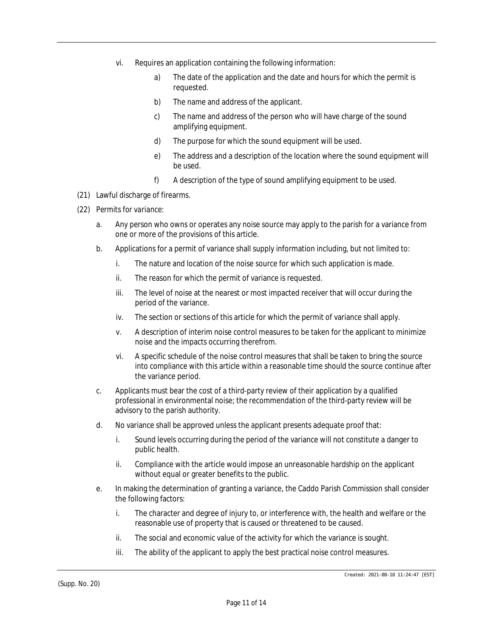- vi. Requires an application containing the following information:
	- a) The date of the application and the date and hours for which the permit is requested.
	- b) The name and address of the applicant.
	- c) The name and address of the person who will have charge of the sound amplifying equipment.
	- d) The purpose for which the sound equipment will be used.
	- e) The address and a description of the location where the sound equipment will be used.
	- f) A description of the type of sound amplifying equipment to be used.
- (21) Lawful discharge of firearms.
- (22) *Permits for variance:*
	- a. Any person who owns or operates any noise source may apply to the parish for a variance from one or more of the provisions of this article.
	- b. Applications for a permit of variance shall supply information including, but not limited to:
		- i. The nature and location of the noise source for which such application is made.
		- ii. The reason for which the permit of variance is requested.
		- iii. The level of noise at the nearest or most impacted receiver that will occur during the period of the variance.
		- iv. The section or sections of this article for which the permit of variance shall apply.
		- v. A description of interim noise control measures to be taken for the applicant to minimize noise and the impacts occurring therefrom.
		- vi. A specific schedule of the noise control measures that shall be taken to bring the source into compliance with this article within a reasonable time should the source continue after the variance period.
	- c. Applicants must bear the cost of a third-party review of their application by a qualified professional in environmental noise; the recommendation of the third-party review will be advisory to the parish authority.
	- d. No variance shall be approved unless the applicant presents adequate proof that:
		- i. Sound levels occurring during the period of the variance will not constitute a danger to public health.
		- ii. Compliance with the article would impose an unreasonable hardship on the applicant without equal or greater benefits to the public.
	- e. In making the determination of granting a variance, the Caddo Parish Commission shall consider the following factors:
		- i. The character and degree of injury to, or interference with, the health and welfare or the reasonable use of property that is caused or threatened to be caused.
		- ii. The social and economic value of the activity for which the variance is sought.
		- iii. The ability of the applicant to apply the best practical noise control measures.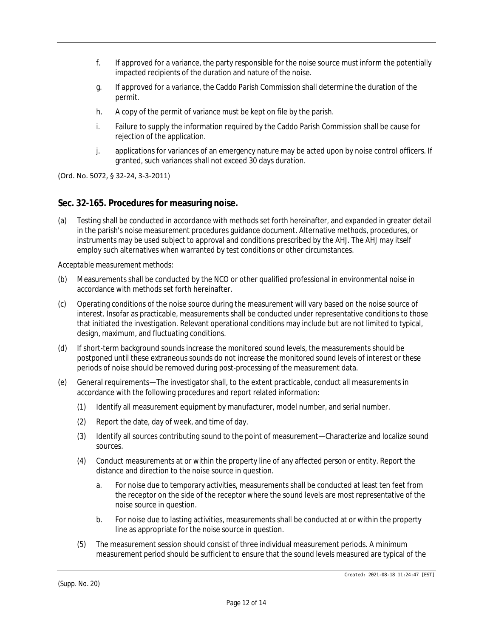- f. If approved for a variance, the party responsible for the noise source must inform the potentially impacted recipients of the duration and nature of the noise.
- g. If approved for a variance, the Caddo Parish Commission shall determine the duration of the permit.
- h. A copy of the permit of variance must be kept on file by the parish.
- i. Failure to supply the information required by the Caddo Parish Commission shall be cause for rejection of the application.
- j. applications for variances of an emergency nature may be acted upon by noise control officers. If granted, such variances shall not exceed 30 days duration.

(Ord. No. 5072, § 32-24, 3-3-2011)

### **Sec. 32-165. Procedures for measuring noise.**

(a) Testing shall be conducted in accordance with methods set forth hereinafter, and expanded in greater detail in the parish's noise measurement procedures guidance document. Alternative methods, procedures, or instruments may be used subject to approval and conditions prescribed by the AHJ. The AHJ may itself employ such alternatives when warranted by test conditions or other circumstances.

*Acceptable measurement methods:*

- (b) Measurements shall be conducted by the NCO or other qualified professional in environmental noise in accordance with methods set forth hereinafter.
- (c) Operating conditions of the noise source during the measurement will vary based on the noise source of interest. Insofar as practicable, measurements shall be conducted under representative conditions to those that initiated the investigation. Relevant operational conditions may include but are not limited to typical, design, maximum, and fluctuating conditions.
- (d) If short-term background sounds increase the monitored sound levels, the measurements should be postponed until these extraneous sounds do not increase the monitored sound levels of interest or these periods of noise should be removed during post-processing of the measurement data.
- (e) General requirements—The investigator shall, to the extent practicable, conduct all measurements in accordance with the following procedures and report related information:
	- (1) Identify all measurement equipment by manufacturer, model number, and serial number.
	- (2) Report the date, day of week, and time of day.
	- (3) Identify all sources contributing sound to the point of measurement—Characterize and localize sound sources.
	- (4) Conduct measurements at or within the property line of any affected person or entity. Report the distance and direction to the noise source in question.
		- a. For noise due to temporary activities, measurements shall be conducted at least ten feet from the receptor on the side of the receptor where the sound levels are most representative of the noise source in question.
		- b. For noise due to lasting activities, measurements shall be conducted at or within the property line as appropriate for the noise source in question.
	- (5) The measurement session should consist of three individual measurement periods. A minimum measurement period should be sufficient to ensure that the sound levels measured are typical of the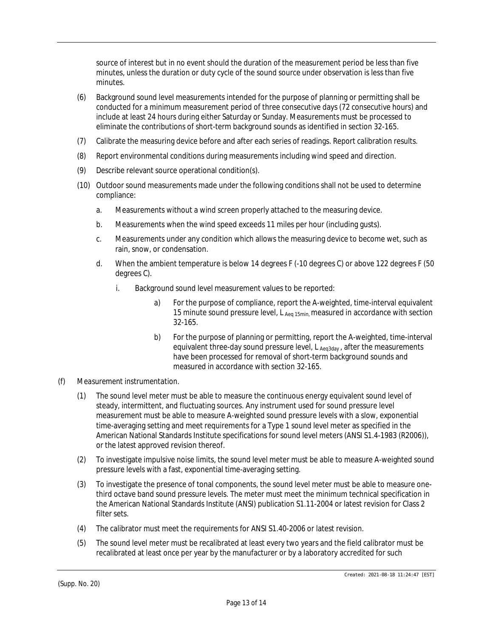source of interest but in no event should the duration of the measurement period be less than five minutes, unless the duration or duty cycle of the sound source under observation is less than five minutes.

- (6) Background sound level measurements intended for the purpose of planning or permitting shall be conducted for a minimum measurement period of three consecutive days (72 consecutive hours) and include at least 24 hours during either Saturday or Sunday. Measurements must be processed to eliminate the contributions of short-term background sounds as identified in section 32-165.
- (7) Calibrate the measuring device before and after each series of readings. Report calibration results.
- (8) Report environmental conditions during measurements including wind speed and direction.
- (9) Describe relevant source operational condition(s).
- (10) Outdoor sound measurements made under the following conditions shall not be used to determine compliance:
	- a. Measurements without a wind screen properly attached to the measuring device.
	- b. Measurements when the wind speed exceeds 11 miles per hour (including gusts).
	- c. Measurements under any condition which allows the measuring device to become wet, such as rain, snow, or condensation.
	- d. When the ambient temperature is below 14 degrees F (-10 degrees C) or above 122 degrees F (50 degrees C).
		- i. Background sound level measurement values to be reported:
			- a) For the purpose of compliance, report the A-weighted, time-interval equivalent 15 minute sound pressure level, L  $_{Aeq\ 15min}$  measured in accordance with section 32-165.
			- b) For the purpose of planning or permitting, report the A-weighted, time-interval equivalent three-day sound pressure level, L Aeq3day, after the measurements have been processed for removal of short-term background sounds and measured in accordance with section 32-165.
- (f) *Measurement instrumentation.*
	- (1) The sound level meter must be able to measure the continuous energy equivalent sound level of steady, intermittent, and fluctuating sources. Any instrument used for sound pressure level measurement must be able to measure A-weighted sound pressure levels with a slow, exponential time-averaging setting and meet requirements for a Type 1 sound level meter as specified in the American National Standards Institute specifications for sound level meters (ANSI S1.4-1983 (R2006)), or the latest approved revision thereof.
	- (2) To investigate impulsive noise limits, the sound level meter must be able to measure A-weighted sound pressure levels with a fast, exponential time-averaging setting.
	- (3) To investigate the presence of tonal components, the sound level meter must be able to measure onethird octave band sound pressure levels. The meter must meet the minimum technical specification in the American National Standards Institute (ANSI) publication S1.11-2004 or latest revision for Class 2 filter sets.
	- (4) The calibrator must meet the requirements for ANSI S1.40-2006 or latest revision.
	- (5) The sound level meter must be recalibrated at least every two years and the field calibrator must be recalibrated at least once per year by the manufacturer or by a laboratory accredited for such